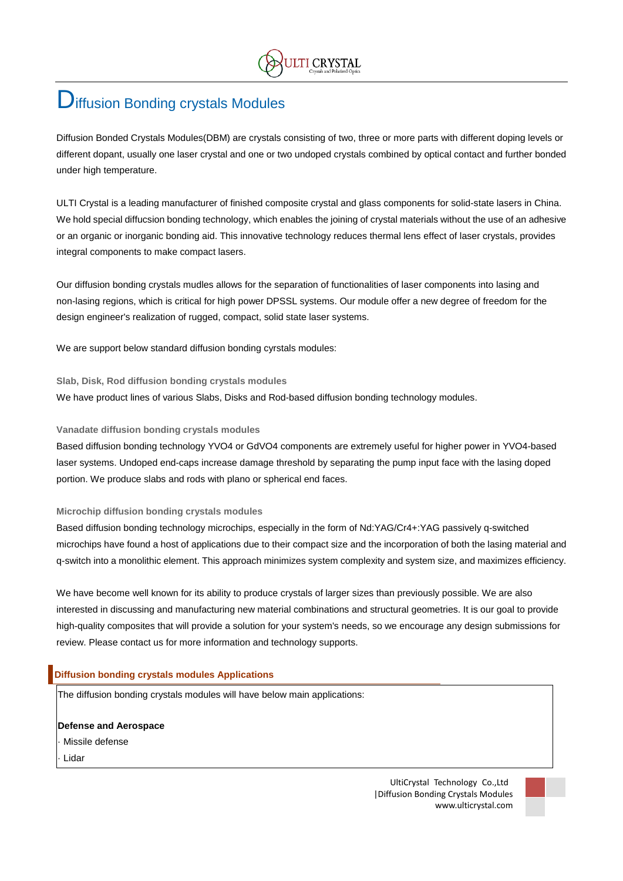# **D**iffusion Bonding crystals Modules

Diffusion Bonded Crystals Modules(DBM) are crystals consisting of two, three or more parts with different doping levels or different dopant, usually one laser crystal and one or two undoped crystals combined by optical contact and further bonded under high temperature.

ULTI Crystal is a leading manufacturer of finished composite crystal and glass components for solid-state lasers in China. We hold special diffucsion bonding technology, which enables the joining of crystal materials without the use of an adhesive or an organic or inorganic bonding aid. This innovative technology reduces thermal lens effect of laser crystals, provides integral components to make compact lasers.

Our diffusion bonding crystals mudles allows for the separation of functionalities of laser components into lasing and non-lasing regions, which is critical for high power DPSSL systems. Our module offer a new degree of freedom for the design engineer's realization of rugged, compact, solid state laser systems.

We are support below standard diffusion bonding cyrstals modules:

**Slab, Disk, Rod diffusion bonding crystals modules** We have product lines of various Slabs, Disks and Rod-based diffusion bonding technology modules.

# **Vanadate diffusion bonding crystals modules**

Based diffusion bonding technology YVO4 or GdVO4 components are extremely useful for higher power in YVO4-based laser systems. Undoped end-caps increase damage threshold by separating the pump input face with the lasing doped portion. We produce slabs and rods with plano or spherical end faces.

#### **Microchip diffusion bonding crystals modules**

Based diffusion bonding technology microchips, especially in the form of Nd:YAG/Cr4+:YAG passively q-switched microchips have found a host of applications due to their compact size and the incorporation of both the lasing material and q-switch into a monolithic element. This approach minimizes system complexity and system size, and maximizes efficiency.

We have become well known for its ability to produce crystals of larger sizes than previously possible. We are also interested in discussing and manufacturing new material combinations and structural geometries. It is our goal to provide high-quality composites that will provide a solution for your system's needs, so we encourage any design submissions for review. Please contact us for more information and technology supports.

# **Diffusion bonding crystals modules Applications**

The diffusion bonding crystals modules will have below main applications:

**Defense and Aerospace** Missile defense

**Lidar** 

UltiCrystal Technology Co.,Ltd |Diffusion Bonding Crystals Modules www.ulticrystal.com

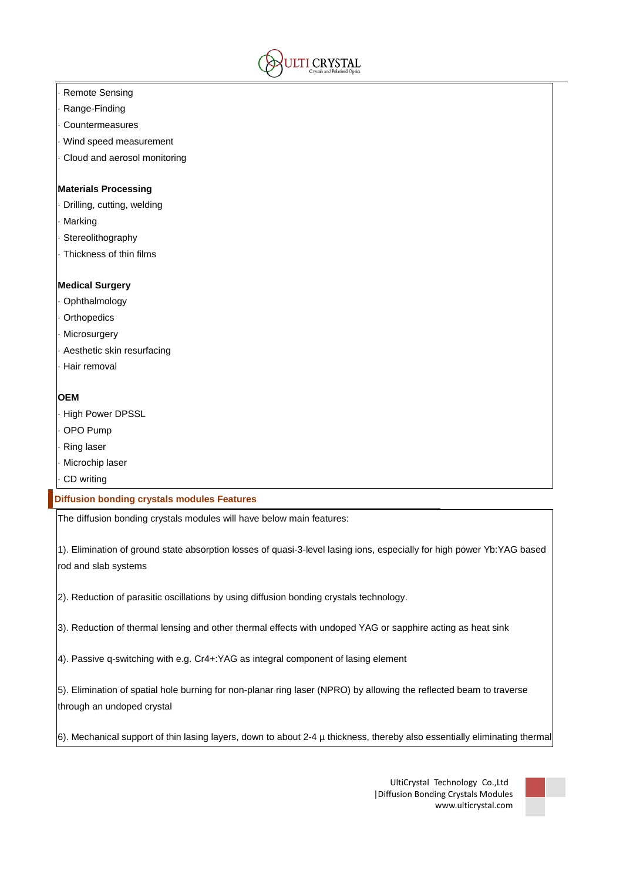

- **Remote Sensing**
- · Range-Finding
- **Countermeasures**
- Wind speed measurement
- Cloud and aerosol monitoring

#### **Materials Processing**

- Drilling, cutting, welding
- **Marking**
- **Stereolithography**
- Thickness of thin films

# **Medical Surgery**

- **Ophthalmology**
- **Orthopedics**
- **Microsurgery**
- Aesthetic skin resurfacing
- Hair removal

# **OEM**

- **High Power DPSSL**
- · OPO Pump
- **Ring laser**
- Microchip laser
- CD writing

# **Diffusion bonding crystals modules Features**

The diffusion bonding crystals modules will have below main features:

1). Elimination of ground state absorption losses of quasi-3-level lasing ions, especially for high power Yb:YAG based rod and slab systems

2). Reduction of parasitic oscillations by using diffusion bonding crystals technology.

3). Reduction of thermal lensing and other thermal effects with undoped YAG or sapphire acting as heat sink

4). Passive q-switching with e.g. Cr4+:YAG as integral component of lasing element

5). Elimination of spatial hole burning for non-planar ring laser (NPRO) by allowing the reflected beam to traverse through an undoped crystal

6). Mechanical support of thin lasing layers, down to about 2-4 µ thickness, thereby also essentially eliminating thermal